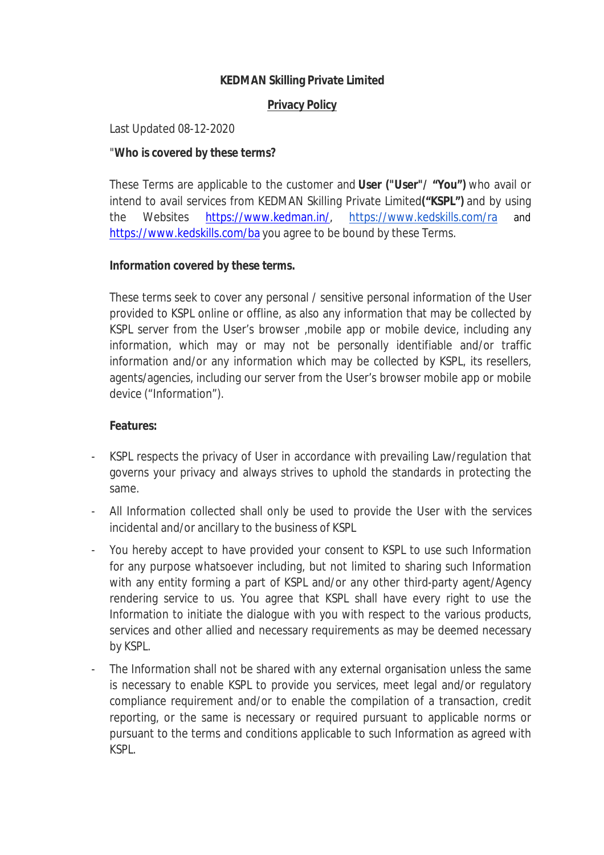# **KEDMAN Skilling Private Limited**

#### **Privacy Policy**

Last Updated 08-12-2020

#### "**Who is covered by these terms?**

These Terms are applicable to the customer and **User ("User"/ "You")** who avail or intend to avail services from KEDMAN Skilling Private Limited**("KSPL")** and by using the Websites https://www.kedman.in/, https://www.kedskills.com/ra and https://www.kedskills.com/ba you agree to be bound by these Terms.

#### **Information covered by these terms.**

These terms seek to cover any personal / sensitive personal information of the User provided to KSPL online or offline, as also any information that may be collected by KSPL server from the User's browser ,mobile app or mobile device, including any information, which may or may not be personally identifiable and/or traffic information and/or any information which may be collected by KSPL, its resellers, agents/agencies, including our server from the User's browser mobile app or mobile device ("Information").

#### **Features:**

- KSPL respects the privacy of User in accordance with prevailing Law/regulation that governs your privacy and always strives to uphold the standards in protecting the same.
- All Information collected shall only be used to provide the User with the services incidental and/or ancillary to the business of KSPL
- You hereby accept to have provided your consent to KSPL to use such Information for any purpose whatsoever including, but not limited to sharing such Information with any entity forming a part of KSPL and/or any other third-party agent/Agency rendering service to us. You agree that KSPL shall have every right to use the Information to initiate the dialogue with you with respect to the various products, services and other allied and necessary requirements as may be deemed necessary by KSPL.
- The Information shall not be shared with any external organisation unless the same is necessary to enable KSPL to provide you services, meet legal and/or regulatory compliance requirement and/or to enable the compilation of a transaction, credit reporting, or the same is necessary or required pursuant to applicable norms or pursuant to the terms and conditions applicable to such Information as agreed with KSPL.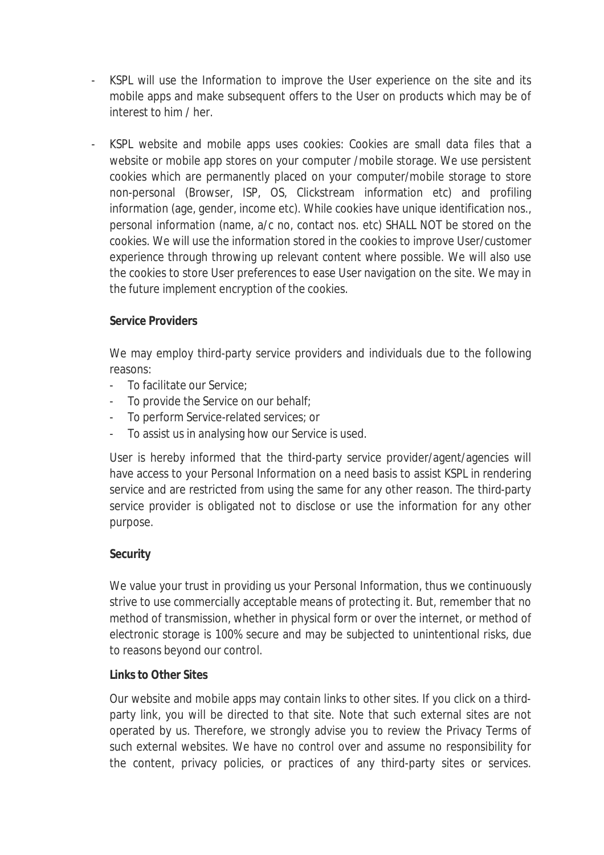- KSPL will use the Information to improve the User experience on the site and its mobile apps and make subsequent offers to the User on products which may be of interest to him / her.
- KSPL website and mobile apps uses cookies: Cookies are small data files that a website or mobile app stores on your computer /mobile storage. We use persistent cookies which are permanently placed on your computer/mobile storage to store non-personal (Browser, ISP, OS, Clickstream information etc) and profiling information (age, gender, income etc). While cookies have unique identification nos., personal information (name, a/c no, contact nos. etc) SHALL NOT be stored on the cookies. We will use the information stored in the cookies to improve User/customer experience through throwing up relevant content where possible. We will also use the cookies to store User preferences to ease User navigation on the site. We may in the future implement encryption of the cookies.

# **Service Providers**

We may employ third-party service providers and individuals due to the following reasons:

- To facilitate our Service;
- To provide the Service on our behalf;
- To perform Service-related services; or
- To assist us in analysing how our Service is used.

User is hereby informed that the third-party service provider/agent/agencies will have access to your Personal Information on a need basis to assist KSPL in rendering service and are restricted from using the same for any other reason. The third-party service provider is obligated not to disclose or use the information for any other purpose.

# **Security**

We value your trust in providing us your Personal Information, thus we continuously strive to use commercially acceptable means of protecting it. But, remember that no method of transmission, whether in physical form or over the internet, or method of electronic storage is 100% secure and may be subjected to unintentional risks, due to reasons beyond our control.

# **Links to Other Sites**

Our website and mobile apps may contain links to other sites. If you click on a thirdparty link, you will be directed to that site. Note that such external sites are not operated by us. Therefore, we strongly advise you to review the Privacy Terms of such external websites. We have no control over and assume no responsibility for the content, privacy policies, or practices of any third-party sites or services.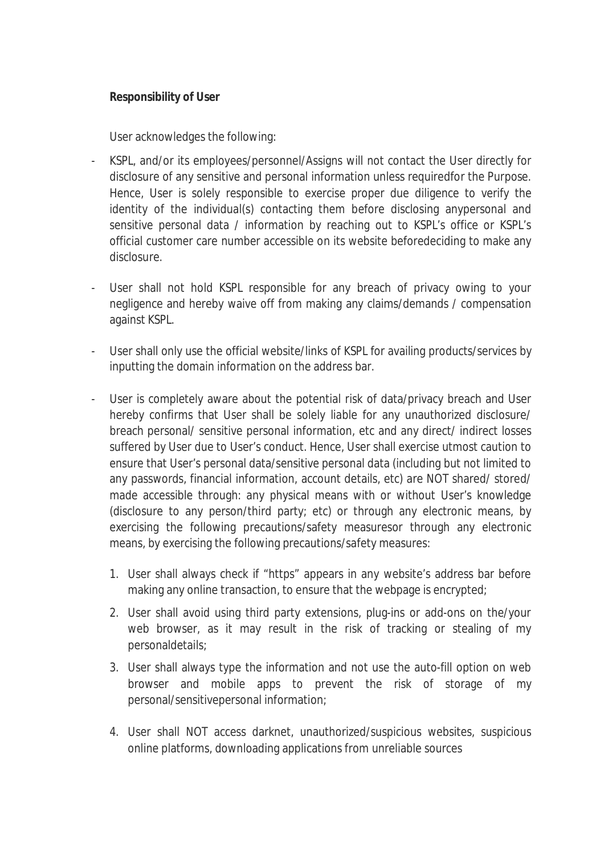# **Responsibility of User**

User acknowledges the following:

- KSPL, and/or its employees/personnel/Assigns will not contact the User directly for disclosure of any sensitive and personal information unless requiredfor the Purpose. Hence, User is solely responsible to exercise proper due diligence to verify the identity of the individual(s) contacting them before disclosing anypersonal and sensitive personal data / information by reaching out to KSPL's office or KSPL's official customer care number accessible on its website beforedeciding to make any disclosure.
- User shall not hold KSPL responsible for any breach of privacy owing to your negligence and hereby waive off from making any claims/demands / compensation against KSPL.
- User shall only use the official website/links of KSPL for availing products/services by inputting the domain information on the address bar.
- User is completely aware about the potential risk of data/privacy breach and User hereby confirms that User shall be solely liable for any unauthorized disclosure/ breach personal/ sensitive personal information, etc and any direct/ indirect losses suffered by User due to User's conduct. Hence, User shall exercise utmost caution to ensure that User's personal data/sensitive personal data (including but not limited to any passwords, financial information, account details, etc) are NOT shared/ stored/ made accessible through: any physical means with or without User's knowledge (disclosure to any person/third party; etc) or through any electronic means, by exercising the following precautions/safety measuresor through any electronic means, by exercising the following precautions/safety measures:
	- 1. User shall always check if "https" appears in any website's address bar before making any online transaction, to ensure that the webpage is encrypted;
	- 2. User shall avoid using third party extensions, plug-ins or add-ons on the/your web browser, as it may result in the risk of tracking or stealing of my personaldetails;
	- 3. User shall always type the information and not use the auto-fill option on web browser and mobile apps to prevent the risk of storage of my personal/sensitivepersonal information;
	- 4. User shall NOT access darknet, unauthorized/suspicious websites, suspicious online platforms, downloading applications from unreliable sources